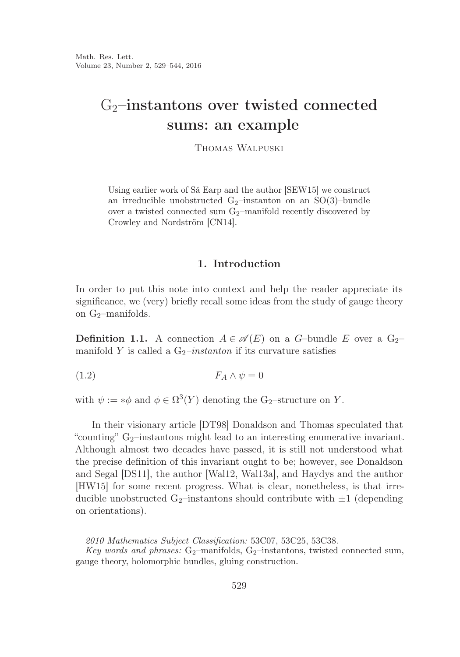# $G_2$ -instantons over twisted connected sums: an example

Thomas Walpuski

Using earlier work of Sá Earp and the author [SEW15] we construct an irreducible unobstructed  $G_2$ -instanton on an SO(3)-bundle over a twisted connected sum  $G_2$ -manifold recently discovered by Crowley and Nordström [CN14].

## 1. Introduction

In order to put this note into context and help the reader appreciate its significance, we (very) briefly recall some ideas from the study of gauge theory on  $G_2$ -manifolds.

**Definition 1.1.** A connection  $A \in \mathcal{A}(E)$  on a G-bundle E over a G<sub>2</sub>manifold Y is called a  $G_2$ -instanton if its curvature satisfies

$$
(1.2) \t\t F_A \wedge \psi = 0
$$

with  $\psi := * \phi$  and  $\phi \in \Omega^3(Y)$  denoting the G<sub>2</sub>-structure on Y.

In their visionary article [DT98] Donaldson and Thomas speculated that "counting" G<sub>2</sub>-instantons might lead to an interesting enumerative invariant. Although almost two decades have passed, it is still not understood what the precise definition of this invariant ought to be; however, see Donaldson and Segal [DS11], the author [Wal12, Wal13a], and Haydys and the author [HW15] for some recent progress. What is clear, nonetheless, is that irreducible unobstructed  $G_2$ -instantons should contribute with  $\pm 1$  (depending on orientations).

*<sup>2010</sup> Mathematics Subject Classification:* 53C07, 53C25, 53C38.

*Key words and phrases:* G<sub>2</sub>-manifolds, G<sub>2</sub>-instantons, twisted connected sum, gauge theory, holomorphic bundles, gluing construction.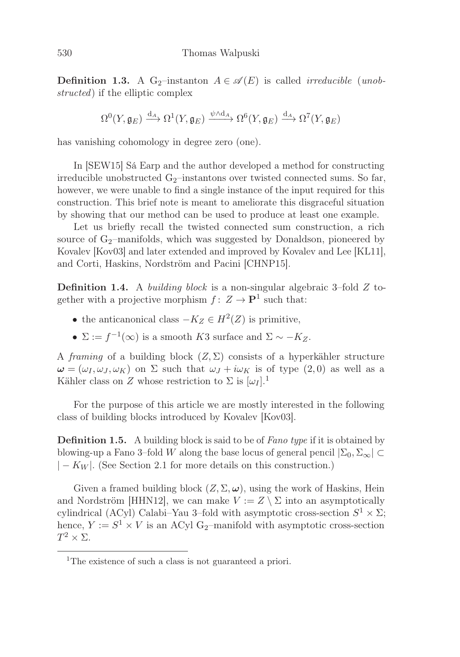**Definition 1.3.** A G<sub>2</sub>-instanton  $A \in \mathcal{A}(E)$  is called *irreducible (unob*structed) if the elliptic complex

$$
\Omega^0(Y,\mathfrak{g}_E) \xrightarrow{d_A} \Omega^1(Y,\mathfrak{g}_E) \xrightarrow{\psi \wedge d_A} \Omega^6(Y,\mathfrak{g}_E) \xrightarrow{d_A} \Omega^7(Y,\mathfrak{g}_E)
$$

has vanishing cohomology in degree zero (one).

In [SEW15] Sá Earp and the author developed a method for constructing irreducible unobstructed  $G_2$ -instantons over twisted connected sums. So far, however, we were unable to find a single instance of the input required for this construction. This brief note is meant to ameliorate this disgraceful situation by showing that our method can be used to produce at least one example.

Let us briefly recall the twisted connected sum construction, a rich source of  $G_2$ -manifolds, which was suggested by Donaldson, pioneered by Kovalev [Kov03] and later extended and improved by Kovalev and Lee [KL11], and Corti, Haskins, Nordström and Pacini [CHNP15].

Definition 1.4. A building block is a non-singular algebraic 3–fold Z together with a projective morphism  $f: Z \to \mathbf{P}^1$  such that:

- the anticanonical class  $-K_Z \in H^2(Z)$  is primitive,
- $\Sigma := f^{-1}(\infty)$  is a smooth K3 surface and  $\Sigma \sim -K_Z$ .

A framing of a building block  $(Z, \Sigma)$  consists of a hyperkähler structure  $\omega = (\omega_I, \omega_J, \omega_K)$  on  $\Sigma$  such that  $\omega_J + i\omega_K$  is of type  $(2,0)$  as well as a Kähler class on Z whose restriction to  $\Sigma$  is  $[\omega_I]$ .<sup>1</sup>

For the purpose of this article we are mostly interested in the following class of building blocks introduced by Kovalev [Kov03].

**Definition 1.5.** A building block is said to be of *Fano type* if it is obtained by blowing-up a Fano 3–fold W along the base locus of general pencil  $|\Sigma_0, \Sigma_{\infty}| \subset$  $|-K_W|$ . (See Section 2.1 for more details on this construction.)

Given a framed building block  $(Z, \Sigma, \omega)$ , using the work of Haskins, Hein and Nordström [HHN12], we can make  $V := Z \setminus \Sigma$  into an asymptotically cylindrical (ACyl) Calabi–Yau 3–fold with asymptotic cross-section  $S^1 \times \Sigma$ ; hence,  $Y := S^1 \times V$  is an ACyl G<sub>2</sub>–manifold with asymptotic cross-section  $T^2 \times \Sigma$ .

<sup>&</sup>lt;sup>1</sup>The existence of such a class is not guaranteed a priori.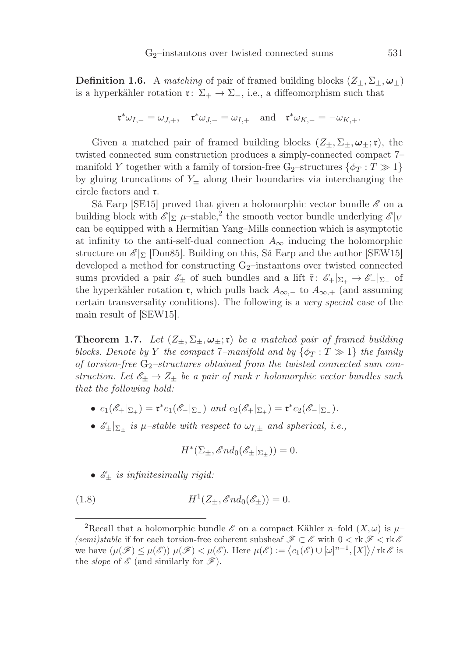**Definition 1.6.** A matching of pair of framed building blocks  $(Z_{\pm}, \Sigma_{\pm}, \omega_{\pm})$ is a hyperkähler rotation  $\mathfrak{r} \colon \Sigma_+ \to \Sigma_-,$  i.e., a diffeomorphism such that

$$
\mathfrak{r}^*\omega_{I,-} = \omega_{J,+}, \quad \mathfrak{r}^*\omega_{J,-} = \omega_{I,+} \quad \text{and} \quad \mathfrak{r}^*\omega_{K,-} = -\omega_{K,+}.
$$

Given a matched pair of framed building blocks  $(Z_{\pm}, \Sigma_{\pm}, \omega_{\pm}; \mathfrak{r})$ , the twisted connected sum construction produces a simply-connected compact 7– manifold Y together with a family of torsion-free  $G_2$ -structures  $\{\phi_T : T \gg 1\}$ by gluing truncations of  $Y_{\pm}$  along their boundaries via interchanging the circle factors and r.

Sá Earp [SE15] proved that given a holomorphic vector bundle  $\mathscr E$  on a building block with  $\mathscr{E}|_{\Sigma}$  μ–stable,<sup>2</sup> the smooth vector bundle underlying  $\mathscr{E}|_{V}$ can be equipped with a Hermitian Yang–Mills connection which is asymptotic at infinity to the anti-self-dual connection  $A_{\infty}$  inducing the holomorphic structure on  $\mathcal{E}_{\Sigma}$  [Don85]. Building on this, Sá Earp and the author [SEW15] developed a method for constructing  $G_2$ –instantons over twisted connected sums provided a pair  $\mathscr{E}_\pm$  of such bundles and a lift  $\bar{\mathfrak{r}}: \mathscr{E}_+|_{\Sigma_+} \to \mathscr{E}_-|_{\Sigma_-}$  of the hyperkähler rotation **r**, which pulls back  $A_{\infty,-}$  to  $A_{\infty,+}$  (and assuming certain transversality conditions). The following is a very special case of the main result of [SEW15].

**Theorem 1.7.** Let  $(Z_{\pm}, \Sigma_{\pm}, \omega_{\pm}; \mathfrak{r})$  be a matched pair of framed building blocks. Denote by Y the compact 7–manifold and by  $\{\phi_T : T \gg 1\}$  the family of torsion-free  $G_2$ -structures obtained from the twisted connected sum construction. Let  $\mathscr{E}_{\pm} \to Z_{\pm}$  be a pair of rank r holomorphic vector bundles such that the following hold:

- $c_1(\mathscr{E}_+|_{\Sigma_+}) = \mathfrak{r}^* c_1(\mathscr{E}_-|_{\Sigma_-})$  and  $c_2(\mathscr{E}_+|_{\Sigma_+}) = \mathfrak{r}^* c_2(\mathscr{E}_-|_{\Sigma_-}).$
- $\mathscr{E}_{\pm}|_{\Sigma_{\pm}}$  is  $\mu$ -stable with respect to  $\omega_{I,\pm}$  and spherical, i.e.,

$$
H^*(\Sigma_\pm, \mathscr{E}nd_0(\mathscr{E}_\pm|_{\Sigma_\pm})) = 0.
$$

•  $\mathscr{E}_{\pm}$  is infinitesimally rigid:

(1.8) 
$$
H^1(Z_{\pm}, \mathscr{E}nd_0(\mathscr{E}_{\pm})) = 0.
$$

<sup>&</sup>lt;sup>2</sup>Recall that a holomorphic bundle  $\mathscr E$  on a compact Kähler *n*–fold  $(X, \omega)$  is  $\mu$ – *(semi)stable* if for each torsion-free coherent subsheaf  $\mathscr{F} \subset \mathscr{E}$  with  $0 < \text{rk } \mathscr{F} < \text{rk } \mathscr{E}$ we have  $(\mu(\mathscr{F}) \leq \mu(\mathscr{E})) \mu(\mathscr{F}) < \mu(\mathscr{E})$ . Here  $\mu(\mathscr{E}) := \langle c_1(\mathscr{E}) \cup [\omega]^{n-1}, [X] \rangle / \text{rk } \mathscr{E}$  is the *slope* of  $\mathscr E$  (and similarly for  $\mathscr F$ ).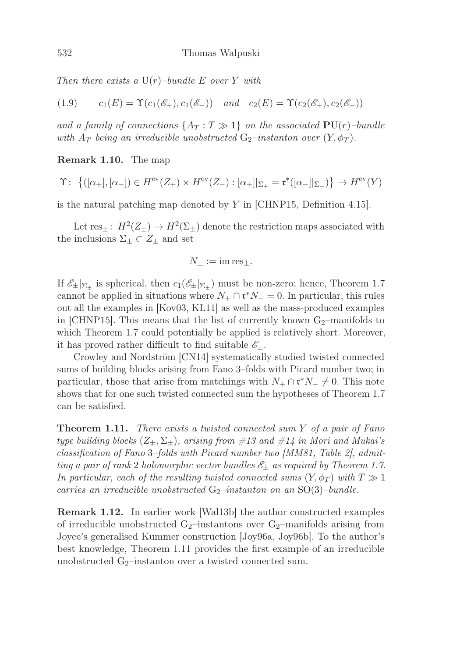Then there exists a  $U(r)$ -bundle E over Y with

(1.9) 
$$
c_1(E) = \Upsilon(c_1(\mathscr{E}_+), c_1(\mathscr{E}_-))
$$
 and  $c_2(E) = \Upsilon(c_2(\mathscr{E}_+), c_2(\mathscr{E}_-))$ 

and a family of connections  $\{A_T : T \gg 1\}$  on the associated  $PU(r)$ –bundle with  $A_T$  being an irreducible unobstructed  $G_2$ -instanton over  $(Y, \phi_T)$ .

## Remark 1.10. The map

$$
\Upsilon: \; \left\{ ([\alpha_+], [\alpha_-]) \in H^{\text{ev}}(Z_+) \times H^{\text{ev}}(Z_-) : [\alpha_+]|_{\Sigma_+} = \mathfrak{r}^*([\alpha_-]|_{\Sigma_-}) \right\} \to H^{\text{ev}}(Y)
$$

is the natural patching map denoted by Y in [CHNP15, Definition 4.15].

Let  $res_{\pm}: H^2(Z_{\pm}) \to H^2(\Sigma_{\pm})$  denote the restriction maps associated with the inclusions  $\Sigma_{\pm} \subset Z_{\pm}$  and set

$$
N_{\pm}:=\mathrm{im}\,\mathrm{res}_{\pm}.
$$

If  $\mathscr{E}_{\pm}|\Sigma_{\pm}$  is spherical, then  $c_1(\mathscr{E}_{\pm}|\Sigma_{\pm})$  must be non-zero; hence, Theorem 1.7 cannot be applied in situations where  $N_+ \cap {\mathfrak r}^* N_- = 0$ . In particular, this rules out all the examples in [Kov03, KL11] as well as the mass-produced examples in  $\lfloor$  CHNP15. This means that the list of currently known  $G_2$ -manifolds to which Theorem 1.7 could potentially be applied is relatively short. Moreover, it has proved rather difficult to find suitable  $\mathscr{E}_\pm$ .

Crowley and Nordström [CN14] systematically studied twisted connected sums of building blocks arising from Fano 3–folds with Picard number two; in particular, those that arise from matchings with  $N_+ \cap \mathfrak{r}^* N_- \neq 0$ . This note shows that for one such twisted connected sum the hypotheses of Theorem 1.7 can be satisfied.

**Theorem 1.11.** There exists a twisted connected sum Y of a pair of Fano type building blocks  $(Z_{\pm}, \Sigma_{\pm})$ , arising from  $\#13$  and  $\#14$  in Mori and Mukai's classification of Fano 3–folds with Picard number two [MM81, Table 2], admitting a pair of rank 2 holomorphic vector bundles  $\mathscr{E}_{\pm}$  as required by Theorem 1.7. In particular, each of the resulting twisted connected sums  $(Y, \phi_T)$  with  $T \gg 1$ carries an irreducible unobstructed  $G_2$ -instanton on an SO(3)-bundle.

Remark 1.12. In earlier work [Wal13b] the author constructed examples of irreducible unobstructed  $G_2$ –instantons over  $G_2$ –manifolds arising from Joyce's generalised Kummer construction [Joy96a, Joy96b]. To the author's best knowledge, Theorem 1.11 provides the first example of an irreducible unobstructed  $G_2$ -instanton over a twisted connected sum.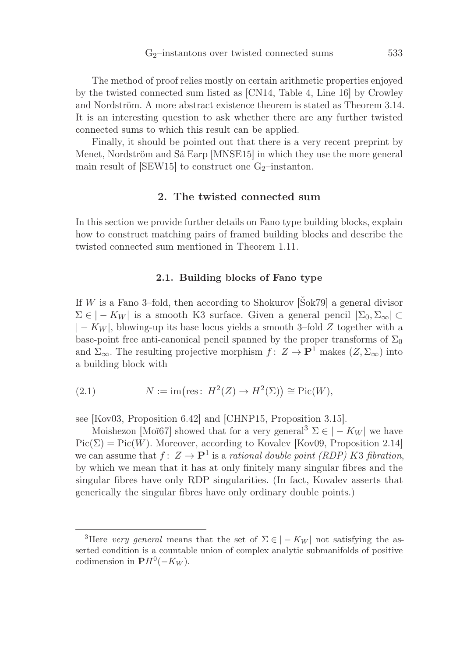The method of proof relies mostly on certain arithmetic properties enjoyed by the twisted connected sum listed as [CN14, Table 4, Line 16] by Crowley and Nordström. A more abstract existence theorem is stated as Theorem 3.14. It is an interesting question to ask whether there are any further twisted connected sums to which this result can be applied.

Finally, it should be pointed out that there is a very recent preprint by Menet, Nordström and Sá Earp [MNSE15] in which they use the more general main result of  $[SEW15]$  to construct one  $G_2$ -instanton.

# 2. The twisted connected sum

In this section we provide further details on Fano type building blocks, explain how to construct matching pairs of framed building blocks and describe the twisted connected sum mentioned in Theorem 1.11.

## 2.1. Building blocks of Fano type

If W is a Fano 3–fold, then according to Shokurov [Šok79] a general divisor  $\Sigma \in |-K_W|$  is a smooth K3 surface. Given a general pencil  $|\Sigma_0, \Sigma_\infty|$  ⊂  $|-K_W|$ , blowing-up its base locus yields a smooth 3–fold Z together with a base-point free anti-canonical pencil spanned by the proper transforms of  $\Sigma_0$ and  $\Sigma_{\infty}$ . The resulting projective morphism  $f: Z \to \mathbf{P}^1$  makes  $(Z, \Sigma_{\infty})$  into a building block with

(2.1) 
$$
N := \text{im}(\text{res}: H^2(Z) \to H^2(\Sigma)) \cong \text{Pic}(W),
$$

see [Kov03, Proposition 6.42] and [CHNP15, Proposition 3.15].

Moishezon [Moĭ67] showed that for a very general<sup>3</sup>  $\Sigma \in |-K_W|$  we have  $Pic(\Sigma) = Pic(W)$ . Moreover, according to Kovalev [Kov09, Proposition 2.14] we can assume that  $f: Z \to \mathbf{P}^1$  is a rational double point *(RDP) K3 fibration*, by which we mean that it has at only finitely many singular fibres and the singular fibres have only RDP singularities. (In fact, Kovalev asserts that generically the singular fibres have only ordinary double points.)

<sup>&</sup>lt;sup>3</sup>Here *very general* means that the set of  $\Sigma \in |-K_W|$  not satisfying the asserted condition is a countable union of complex analytic submanifolds of positive codimension in  $\mathbf{P}H^0(-K_W)$ .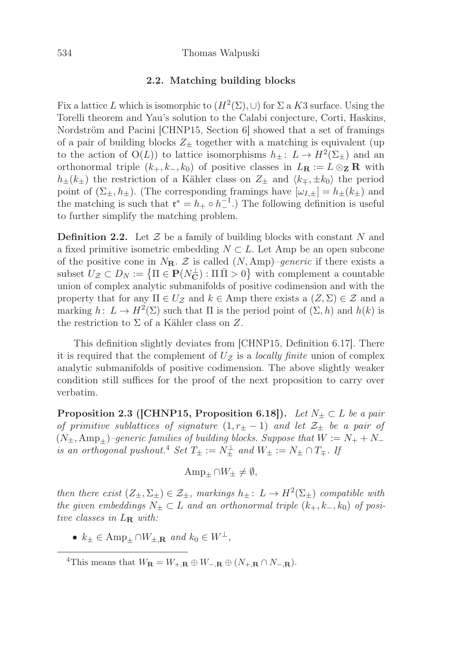#### 534 Thomas Walpuski

#### 2.2. Matching building blocks

Fix a lattice L which is isomorphic to  $(H^2(\Sigma), \cup)$  for  $\Sigma$  a K3 surface. Using the Torelli theorem and Yau's solution to the Calabi conjecture, Corti, Haskins, Nordström and Pacini [CHNP15, Section 6] showed that a set of framings of a pair of building blocks  $Z_{\pm}$  together with a matching is equivalent (up to the action of  $O(L)$ ) to lattice isomorphisms  $h_{\pm}: L \to H^2(\Sigma_{\pm})$  and an orthonormal triple  $(k_+, k_-, k_0)$  of positive classes in  $L_{\mathbf{R}} := L \otimes_{\mathbf{Z}} \mathbf{R}$  with  $h_{\pm}(k_{\pm})$  the restriction of a Kähler class on  $Z_{\pm}$  and  $\langle k_{\mp}, \pm k_0 \rangle$  the period point of  $(\Sigma_{\pm}, h_{\pm})$ . (The corresponding framings have  $[\omega_{I,\pm}] = h_{\pm}(k_{\pm})$  and the matching is such that  $\mathbf{r}^* = h_+ \circ h_-^{-1}$ .) The following definition is useful<br>to further simplify the matching problem to further simplify the matching problem.

**Definition 2.2.** Let  $\mathcal{Z}$  be a family of building blocks with constant N and a fixed primitive isometric embedding  $N \subset L$ . Let Amp be an open subcone of the positive cone in  $N_{\mathbf{R}}$ . Z is called  $(N, \text{Amp})$ –generic if there exists a subset  $U_z \subset D_N := \{ \Pi \in \mathbf{P}(N_{\mathbf{C}}^{\perp}) : \Pi \overline{\Pi} > 0 \}$  with complement a countable union of complex analytic submanifolds of positive codimension and with the property that for any  $\Pi \in U_{\mathcal{Z}}$  and  $k \in \text{Amp}$  there exists a  $(Z, \Sigma) \in \mathcal{Z}$  and a marking  $h: L \to H^2(\Sigma)$  such that  $\Pi$  is the period point of  $(\Sigma, h)$  and  $h(k)$  is the restriction to  $\Sigma$  of a Kähler class on  $Z$ .

This definition slightly deviates from [CHNP15, Definition 6.17]. There it is required that the complement of  $U_z$  is a *locally finite* union of complex analytic submanifolds of positive codimension. The above slightly weaker condition still suffices for the proof of the next proposition to carry over verbatim.

**Proposition 2.3 ([CHNP15, Proposition 6.18]).** Let  $N_{\pm} \subset L$  be a pair of primitive sublattices of signature  $(1, r_{\pm} - 1)$  and let  $\mathcal{Z}_{\pm}$  be a pair of  $(N_{\pm}, \text{Amp}_{+})$ -generic families of building blocks. Suppose that  $W := N_{+} + N_{-}$ is an orthogonal pushout.<sup>4</sup> Set  $T_{\pm} := N_{\pm}^{\perp}$  and  $W_{\pm} := N_{\pm} \cap T_{\mp}$ . If

$$
\operatorname{Amp}_{\pm} \cap W_{\pm} \neq \emptyset,
$$

then there exist  $(Z_{\pm}, \Sigma_{\pm}) \in \mathcal{Z}_{\pm}$ , markings  $h_{\pm}: L \to H^2(\Sigma_{\pm})$  compatible with the given embeddings  $N_{\pm} \subset L$  and an orthonormal triple  $(k_{+}, k_{-}, k_{0})$  of positive classes in L**<sup>R</sup>** with:

•  $k_{\pm} \in \text{Amp}_{\pm} \cap W_{\pm,\mathbf{R}}$  and  $k_0 \in W^{\perp}$ ,

<sup>&</sup>lt;sup>4</sup>This means that  $W_{\mathbf{R}} = W_{+,\mathbf{R}} \oplus W_{-,\mathbf{R}} \oplus (N_{+,\mathbf{R}} \cap N_{-,\mathbf{R}})$ .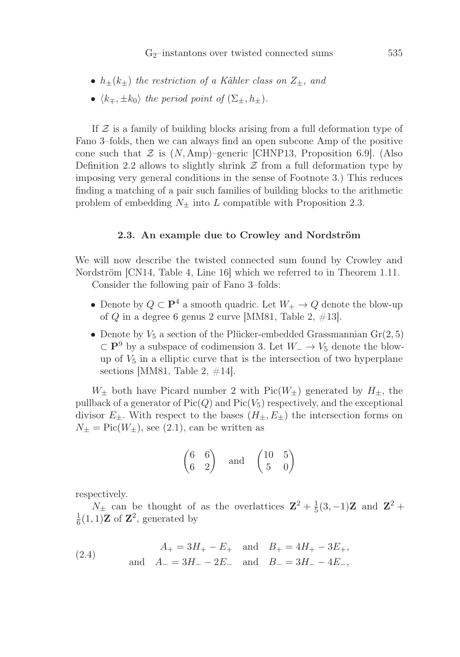- $h_{\pm}(k_{\pm})$  the restriction of a Kähler class on  $Z_{\pm}$ , and
- $\langle k_{\mp}, \pm k_0 \rangle$  the period point of  $(\Sigma_{\pm}, h_{\pm}).$

If  $\mathcal Z$  is a family of building blocks arising from a full deformation type of Fano 3–folds, then we can always find an open subcone Amp of the positive cone such that  $\mathcal Z$  is  $(N, \text{Amp})$ –generic [CHNP13, Proposition 6.9]. (Also Definition 2.2 allows to slightly shrink  $\mathcal Z$  from a full deformation type by imposing very general conditions in the sense of Footnote 3.) This reduces finding a matching of a pair such families of building blocks to the arithmetic problem of embedding  $N_{\pm}$  into L compatible with Proposition 2.3.

## 2.3. An example due to Crowley and Nordström

We will now describe the twisted connected sum found by Crowley and Nordström [CN14, Table 4, Line 16] which we referred to in Theorem 1.11.

Consider the following pair of Fano 3–folds:

- Denote by  $Q \subset \mathbf{P}^4$  a smooth quadric. Let  $W_+ \to Q$  denote the blow-up of Q in a degree 6 genus 2 curve [MM81, Table 2,  $\#13$ ].
- Denote by  $V_5$  a section of the Plücker-embedded Grassmannian  $Gr(2, 5)$  $\subset$  **P**<sup>9</sup> by a subspace of codimension 3. Let  $W_-\to V_5$  denote the blowup of  $V_5$  in a elliptic curve that is the intersection of two hyperplane sections [MM81, Table 2,  $\#14$ ].

 $W_{\pm}$  both have Picard number 2 with Pic( $W_{\pm}$ ) generated by  $H_{\pm}$ , the pullback of a generator of  $Pic(Q)$  and  $Pic(V_5)$  respectively, and the exceptional divisor  $E_{\pm}$ . With respect to the bases  $(H_{\pm}, E_{\pm})$  the intersection forms on  $N_{\pm} = Pic(W_{\pm}),$  see (2.1), can be written as

$$
\begin{pmatrix} 6 & 6 \ 6 & 2 \end{pmatrix} \quad \text{and} \quad \begin{pmatrix} 10 & 5 \ 5 & 0 \end{pmatrix}
$$

respectively.

 $N_{\pm}$  can be thought of as the overlattices  $\mathbf{Z}^2 + \frac{1}{5}(3,-1)\mathbf{Z}$  and  $\mathbf{Z}^2 +$  $\frac{1}{6}(1,1)$ **Z** of **Z**<sup>2</sup>, generated by

(2.4) 
$$
A_{+} = 3H_{+} - E_{+}
$$
 and  $B_{+} = 4H_{+} - 3E_{+}$ ,  
and  $A_{-} = 3H_{-} - 2E_{-}$  and  $B_{-} = 3H_{-} - 4E_{-}$ ,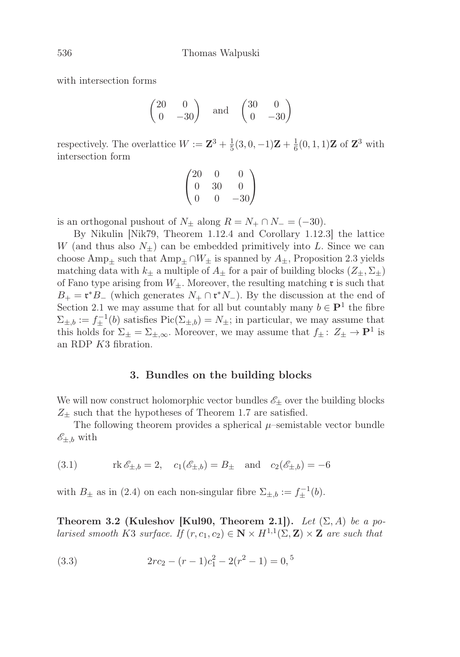with intersection forms

$$
\begin{pmatrix} 20 & 0 \ 0 & -30 \end{pmatrix} \quad \text{and} \quad \begin{pmatrix} 30 & 0 \ 0 & -30 \end{pmatrix}
$$

respectively. The overlattice  $W := \mathbf{Z}^3 + \frac{1}{5}(3, 0, -1)\mathbf{Z} + \frac{1}{6}(0, 1, 1)\mathbf{Z}$  of  $\mathbf{Z}^3$  with intersection form

$$
\begin{pmatrix}\n20 & 0 & 0 \\
0 & 30 & 0 \\
0 & 0 & -30\n\end{pmatrix}
$$

is an orthogonal pushout of  $N_{\pm}$  along  $R = N_{+} \cap N_{-} = (-30)$ .

By Nikulin [Nik79, Theorem 1.12.4 and Corollary 1.12.3] the lattice W (and thus also  $N_{\pm}$ ) can be embedded primitively into L. Since we can choose Amp<sub>+</sub> such that Amp<sub>+</sub> ∩ $W_{\pm}$  is spanned by  $A_{\pm}$ , Proposition 2.3 yields matching data with  $k_{\pm}$  a multiple of  $A_{\pm}$  for a pair of building blocks  $(Z_{\pm}, \Sigma_{\pm})$ of Fano type arising from  $W_+$ . Moreover, the resulting matching  $\mathfrak r$  is such that  $B_+ = \mathfrak{r}^*B_-$  (which generates  $N_+ \cap \mathfrak{r}^* N_-$ ). By the discussion at the end of Section 2.1 we may assume that for all but countably many  $b \in \mathbf{P}^1$  the fibre  $\Sigma_{\pm,b} := f_{\pm}^{-1}(b)$  satisfies  $Pic(\Sigma_{\pm,b}) = N_{\pm}$ ; in particular, we may assume that this holds for  $\Sigma_{\pm} = \Sigma_{\pm,\infty}$ . Moreover, we may assume that  $f_{\pm} : Z_{\pm} \to \mathbf{P}^1$  is an RDP K3 fibration.

## 3. Bundles on the building blocks

We will now construct holomorphic vector bundles  $\mathscr{E}_\pm$  over the building blocks  $Z_{+}$  such that the hypotheses of Theorem 1.7 are satisfied.

The following theorem provides a spherical  $\mu$ –semistable vector bundle  $\mathscr{E}_{\pm,b}$  with

(3.1) 
$$
\text{rk } \mathcal{E}_{\pm,b} = 2, \quad c_1(\mathcal{E}_{\pm,b}) = B_{\pm} \text{ and } c_2(\mathcal{E}_{\pm,b}) = -6
$$

with  $B_{\pm}$  as in (2.4) on each non-singular fibre  $\Sigma_{\pm,b} := f_{\pm}^{-1}(b)$ .

Theorem 3.2 (Kuleshov [Kul90, Theorem 2.1]). Let  $(\Sigma, A)$  be a polarised smooth K3 surface. If  $(r, c_1, c_2) \in \mathbb{N} \times H^{1,1}(\Sigma, \mathbb{Z}) \times \mathbb{Z}$  are such that

(3.3) 
$$
2rc_2 - (r-1)c_1^2 - 2(r^2 - 1) = 0,
$$
<sup>5</sup>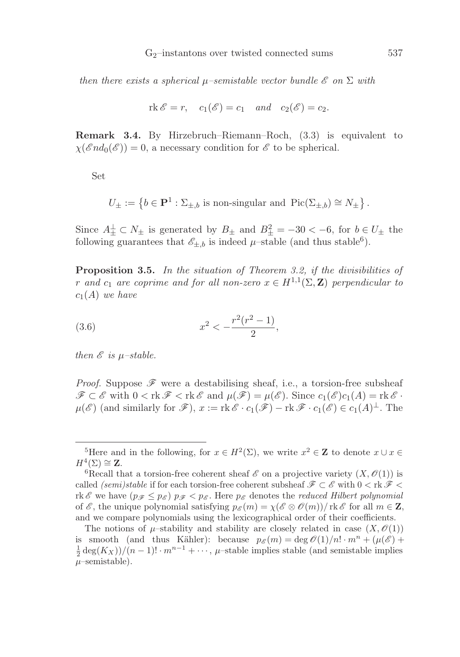then there exists a spherical  $\mu$ –semistable vector bundle  $\mathscr E$  on  $\Sigma$  with

$$
rk \mathscr{E} = r, \quad c_1(\mathscr{E}) = c_1 \quad and \quad c_2(\mathscr{E}) = c_2.
$$

Remark 3.4. By Hirzebruch–Riemann–Roch, (3.3) is equivalent to  $\chi(\mathscr{E}nd_0(\mathscr{E}))=0$ , a necessary condition for  $\mathscr{E}$  to be spherical.

Set

$$
U_{\pm}:=\left\{b\in\mathbf{P}^1:\Sigma_{\pm,b}\text{ is non-singular and }\operatorname{Pic}(\Sigma_{\pm,b})\cong N_{\pm}\right\}.
$$

Since  $A_{\pm}^{\perp} \subset N_{\pm}$  is generated by  $B_{\pm}$  and  $B_{\pm}^2 = -30 < -6$ , for  $b \in U_{\pm}$  the following guarantees that  $\mathscr{E}_{\pm,b}$  is indeed  $\mu$ -stable (and thus stable<sup>6</sup>).

Proposition 3.5. In the situation of Theorem 3.2, if the divisibilities of r and c<sub>1</sub> are coprime and for all non-zero  $x \in H^{1,1}(\Sigma, \mathbb{Z})$  perpendicular to  $c_1(A)$  we have

(3.6) 
$$
x^2 < -\frac{r^2(r^2-1)}{2},
$$

then  $\mathscr E$  is  $\mu$ -stable.

*Proof.* Suppose  $\mathscr F$  were a destabilising sheaf, i.e., a torsion-free subsheaf  $\mathscr{F} \subset \mathscr{E}$  with  $0 < \mathrm{rk}\,\mathscr{F} < \mathrm{rk}\,\mathscr{E}$  and  $\mu(\mathscr{F}) = \mu(\mathscr{E})$ . Since  $c_1(\mathscr{E})c_1(A) = \mathrm{rk}\,\mathscr{E}$ .  $\mu(\mathscr{E})$  (and similarly for  $\mathscr{F}$ ),  $x := \text{rk}\,\mathscr{E} \cdot c_1(\mathscr{F}) - \text{rk}\,\mathscr{F} \cdot c_1(\mathscr{E}) \in c_1(A)^{\perp}$ . The

<sup>&</sup>lt;sup>5</sup>Here and in the following, for  $x \in H^2(\Sigma)$ , we write  $x^2 \in \mathbb{Z}$  to denote  $x \cup x \in H^4(\Sigma) \cong \mathbb{Z}$ .

 ${}^6$ Recall that a torsion-free coherent sheaf  $\mathscr E$  on a projective variety  $(X, \mathscr O(1))$  is called *(semi)stable* if for each torsion-free coherent subsheaf  $\mathscr{F} \subset \mathscr{E}$  with  $0 < \text{rk } \mathscr{F} <$ rk E we have  $(p_{\mathscr{F}} \leq p_{\mathscr{E}}) p_{\mathscr{F}} < p_{\mathscr{E}}$ . Here  $p_{\mathscr{E}}$  denotes the *reduced Hilbert polynomial* of  $\mathscr E$ , the unique polynomial satisfying  $p_{\mathscr E}(m) = \chi(\mathscr E \otimes \mathscr O(m))/\mathop{\mathrm{rk}} \mathscr E$  for all  $m \in \mathbb Z$ , and we compare polynomials using the lexicographical order of their coefficients.

The notions of  $\mu$ -stability and stability are closely related in case  $(X, \mathcal{O}(1))$ is smooth (and thus Kähler): because  $p_{\mathscr{E}}(m) = \deg \mathscr{O}(1)/n! \cdot m^n + (\mu(\mathscr{E}) +$  $\frac{1}{2} \deg(K_X) / (n-1)! \cdot m^{n-1} + \cdots$ ,  $\mu$ -stable implies stable (and semistable implies  $\mu$ –semistable).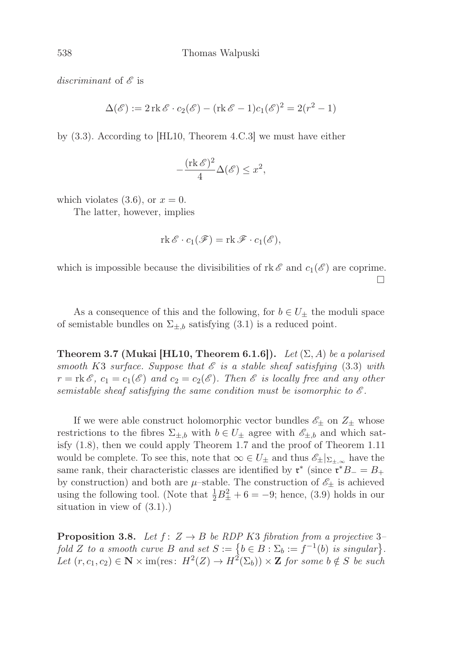discriminant of  $\mathscr E$  is

$$
\Delta(\mathscr{E}) := 2 \operatorname{rk} \mathscr{E} \cdot c_2(\mathscr{E}) - (\operatorname{rk} \mathscr{E} - 1)c_1(\mathscr{E})^2 = 2(r^2 - 1)
$$

by (3.3). According to [HL10, Theorem 4.C.3] we must have either

$$
-\frac{(\operatorname{rk} \mathscr{E})^2}{4}\Delta(\mathscr{E}) \le x^2,
$$

which violates (3.6), or  $x = 0$ .

The latter, however, implies

$$
\operatorname{rk} \mathscr{E} \cdot c_1(\mathscr{F}) = \operatorname{rk} \mathscr{F} \cdot c_1(\mathscr{E}),
$$

which is impossible because the divisibilities of rk  $\mathscr E$  and  $c_1(\mathscr E)$  are coprime.  $\Box$ 

As a consequence of this and the following, for  $b \in U_{\pm}$  the moduli space of semistable bundles on  $\Sigma_{\pm,b}$  satisfying (3.1) is a reduced point.

**Theorem 3.7 (Mukai [HL10, Theorem 6.1.6]).** Let  $(\Sigma, A)$  be a polarised smooth K3 surface. Suppose that  $\mathscr E$  is a stable sheaf satisfying (3.3) with  $r = \text{rk } \mathscr{E}, c_1 = c_1(\mathscr{E})$  and  $c_2 = c_2(\mathscr{E}).$  Then  $\mathscr{E}$  is locally free and any other semistable sheaf satisfying the same condition must be isomorphic to  $\mathscr E$ .

If we were able construct holomorphic vector bundles  $\mathscr{E}_\pm$  on  $Z_\pm$  whose restrictions to the fibres  $\Sigma_{\pm,b}$  with  $b \in U_{\pm}$  agree with  $\mathscr{E}_{\pm,b}$  and which satisfy (1.8), then we could apply Theorem 1.7 and the proof of Theorem 1.11 would be complete. To see this, note that  $\infty \in U_{\pm}$  and thus  $\mathscr{E}_{\pm}|_{\Sigma_{\pm}}$  have the same rank, their characteristic classes are identified by  $\mathfrak{r}^*$  (since  $\mathfrak{r}^*B_-=B_+$ by construction) and both are  $\mu$ -stable. The construction of  $\mathscr{E}_\pm$  is achieved using the following tool. (Note that  $\frac{1}{2}B_{\pm}^2 + 6 = -9$ ; hence, (3.9) holds in our situation in view of (3.1).)

**Proposition 3.8.** Let  $f: Z \rightarrow B$  be RDP K3 fibration from a projective 3fold Z to a smooth curve B and set  $S := \{b \in B : \Sigma_b := f^{-1}(b)$  is singular $\}.$ Let  $(r, c_1, c_2) \in \mathbb{N} \times \text{im}(\text{res}: H^2(Z) \to H^2(\Sigma_b)) \times \mathbb{Z}$  for some  $b \notin S$  be such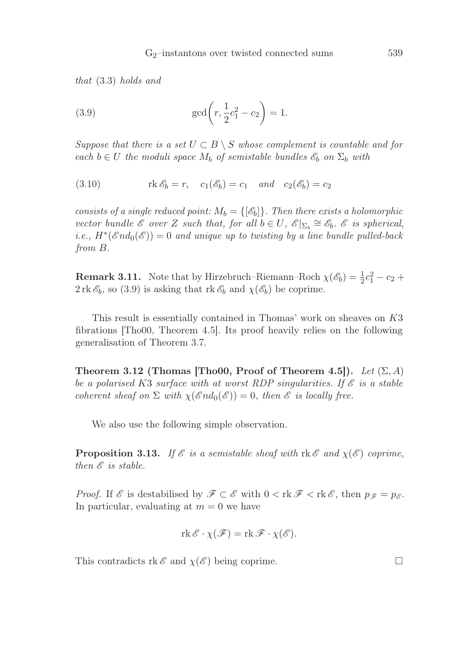that (3.3) holds and

(3.9) 
$$
\gcd\left(r, \frac{1}{2}c_1^2 - c_2\right) = 1.
$$

Suppose that there is a set  $U \subset B \setminus S$  whose complement is countable and for each  $b \in U$  the moduli space  $M_b$  of semistable bundles  $\mathscr{E}_b$  on  $\Sigma_b$  with

(3.10) 
$$
\operatorname{rk} \mathscr{E}_b = r, \quad c_1(\mathscr{E}_b) = c_1 \quad \text{and} \quad c_2(\mathscr{E}_b) = c_2
$$

consists of a single reduced point:  $M_b = \{\lbrack \mathcal{E}_b \rbrack \}$ . Then there exists a holomorphic vector bundle  $\mathscr E$  over Z such that, for all  $b \in U$ ,  $\mathscr E|_{\Sigma_b} \cong \mathscr E_b$ .  $\mathscr E$  is spherical, *i.e.*,  $H^*(\mathscr{E}nd_0(\mathscr{E})) = 0$  and unique up to twisting by a line bundle pulled-back from B.

**Remark 3.11.** Note that by Hirzebruch–Riemann–Roch  $\chi(\mathscr{E}_b) = \frac{1}{2}c_1^2 - c_2 + c_1^2$  $2 \text{ rk } \mathscr{E}_b$ , so (3.9) is asking that  $\text{ rk } \mathscr{E}_b$  and  $\chi(\mathscr{E}_b)$  be coprime.

This result is essentially contained in Thomas' work on sheaves on K3 fibrations [Tho00, Theorem 4.5]. Its proof heavily relies on the following generalisation of Theorem 3.7.

Theorem 3.12 (Thomas [Tho00, Proof of Theorem 4.5]). Let  $(\Sigma, A)$ be a polarised K3 surface with at worst RDP singularities. If  $\mathscr E$  is a stable coherent sheaf on  $\Sigma$  with  $\chi(\mathscr{E}nd_0(\mathscr{E}))=0$ , then  $\mathscr{E}$  is locally free.

We also use the following simple observation.

**Proposition 3.13.** If  $\mathscr E$  is a semistable sheaf with rk  $\mathscr E$  and  $\chi(\mathscr E)$  coprime, then  $\mathscr E$  is stable.

*Proof.* If  $\mathscr E$  is destabilised by  $\mathscr F \subset \mathscr E$  with  $0 < \text{rk } \mathscr F < \text{rk } \mathscr E$ , then  $p_{\mathscr F} = p_{\mathscr E}$ . In particular, evaluating at  $m = 0$  we have

$$
\operatorname{rk} {\mathscr E} \cdot \chi({\mathscr F}) = \operatorname{rk} {\mathscr F} \cdot \chi({\mathscr E}).
$$

This contradicts rk  $\mathscr{E}$  and  $\chi(\mathscr{E})$  being coprime.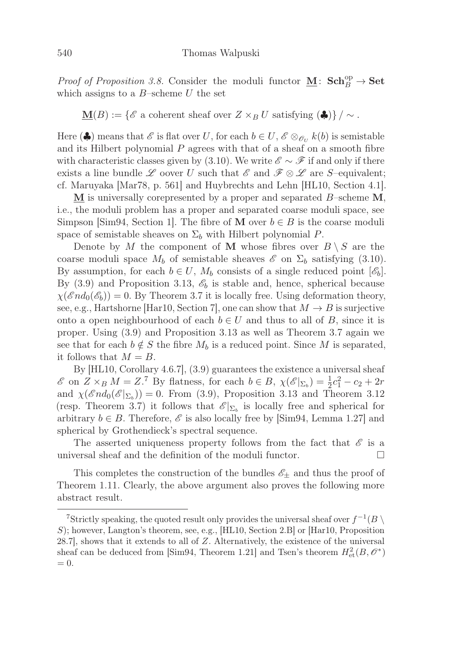Proof of Proposition 3.8. Consider the moduli functor  $\underline{\mathbf{M}}\colon \mathbf{Sch}_B^{\rm op} \to \mathbf{Set}$ which assigns to a  $B$ -scheme U the set

**M**(B) := { $\mathscr{E}$  a coherent sheaf over  $Z \times_B U$  satisfying (♦)} / ~.

Here ( $\clubsuit$ ) means that  $\mathscr E$  is flat over U, for each  $b \in U$ ,  $\mathscr E \otimes_{\mathscr O_U} k(b)$  is semistable and its Hilbert polynomial  $P$  agrees with that of a sheaf on a smooth fibre with characteristic classes given by (3.10). We write  $\mathscr{E} \sim \mathscr{F}$  if and only if there exists a line bundle L oover U such that  $\mathscr{E}$  and  $\mathscr{F} \otimes \mathscr{L}$  are S–equivalent; cf. Maruyaka [Mar78, p. 561] and Huybrechts and Lehn [HL10, Section 4.1].

**M** is universally corepresented by a proper and separated B–scheme **M**, i.e., the moduli problem has a proper and separated coarse moduli space, see Simpson [Sim94, Section 1]. The fibre of **M** over  $b \in B$  is the coarse moduli space of semistable sheaves on  $\Sigma_b$  with Hilbert polynomial P.

Denote by M the component of M whose fibres over  $B \setminus S$  are the coarse moduli space  $M_b$  of semistable sheaves  $\mathscr E$  on  $\Sigma_b$  satisfying (3.10). By assumption, for each  $b \in U$ ,  $M_b$  consists of a single reduced point  $[\mathscr{E}_b]$ . By (3.9) and Proposition 3.13,  $\mathscr{E}_b$  is stable and, hence, spherical because  $\chi(\mathscr{E}nd_0(\mathscr{E}_b)) = 0$ . By Theorem 3.7 it is locally free. Using deformation theory, see, e.g., Hartshorne [Har10, Section 7], one can show that  $M \to B$  is surjective onto a open neighbourhood of each  $b \in U$  and thus to all of B, since it is proper. Using (3.9) and Proposition 3.13 as well as Theorem 3.7 again we see that for each  $b \notin S$  the fibre  $M_b$  is a reduced point. Since M is separated, it follows that  $M = B$ .

By [HL10, Corollary 4.6.7], (3.9) guarantees the existence a universal sheaf  $\mathscr{E}$  on  $Z \times_B M = Z$ .<sup>7</sup> By flatness, for each  $b \in B$ ,  $\chi(\mathscr{E}|_{\Sigma_b}) = \frac{1}{2}c_1^2 - c_2 + 2r$ and  $\chi(\mathscr{E}nd_0(\mathscr{E}|\Sigma_b)) = 0$ . From (3.9), Proposition 3.13 and Theorem 3.12 (resp. Theorem 3.7) it follows that  $\mathscr{E}|_{\Sigma_b}$  is locally free and spherical for arbitrary  $b \in B$ . Therefore,  $\mathcal{E}$  is also locally free by [Sim94, Lemma 1.27] and spherical by Grothendieck's spectral sequence.

The asserted uniqueness property follows from the fact that  $\mathscr E$  is a universal sheaf and the definition of the moduli functor.  $\Box$ 

This completes the construction of the bundles  $\mathscr{E}_{\pm}$  and thus the proof of Theorem 1.11. Clearly, the above argument also proves the following more abstract result.

<sup>&</sup>lt;sup>7</sup>Strictly speaking, the quoted result only provides the universal sheaf over  $f^{-1}(B \setminus$ S); however, Langton's theorem, see, e.g., [HL10, Section 2.B] or [Har10, Proposition 28.7], shows that it extends to all of Z. Alternatively, the existence of the universal sheaf can be deduced from [Sim94, Theorem 1.21] and Tsen's theorem  $H^2_{\text{et}}(B, \mathcal{O}^*)$  $= 0.$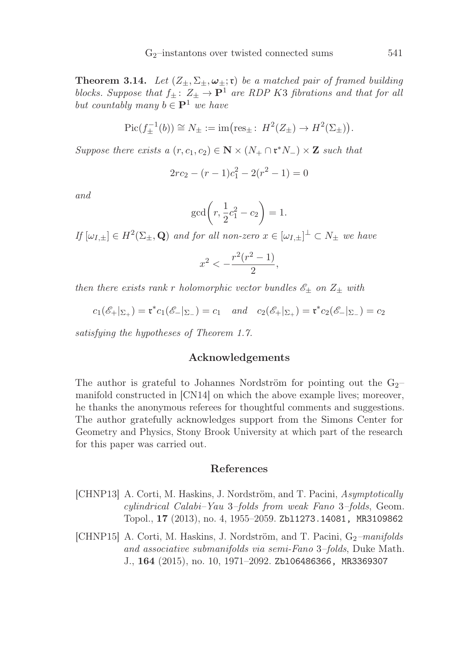**Theorem 3.14.** Let  $(Z_{\pm}, \Sigma_{\pm}, \omega_{\pm}; \mathfrak{r})$  be a matched pair of framed building blocks. Suppose that  $f_{\pm}$ :  $Z_{\pm} \rightarrow \mathbf{P}^1$  are RDP K3 fibrations and that for all but countably many  $b \in \mathbf{P}^1$  we have

$$
Pic(f_{\pm}^{-1}(b)) \cong N_{\pm} := im(res_{\pm}: H^2(Z_{\pm}) \to H^2(\Sigma_{\pm})).
$$

Suppose there exists a  $(r, c_1, c_2) \in \mathbb{N} \times (N_+ \cap \mathfrak{r}^* N_-) \times \mathbb{Z}$  such that

$$
2rc_2 - (r-1)c_1^2 - 2(r^2 - 1) = 0
$$

and

$$
\gcd\bigg(r, \frac{1}{2}c_1^2 - c_2\bigg) = 1.
$$

If  $[\omega_{I,\pm}] \in H^2(\Sigma_\pm, \mathbf{Q})$  and for all non-zero  $x \in [\omega_{I,\pm}]^{\perp} \subset N_{\pm}$  we have

$$
x^2 < -\frac{r^2(r^2-1)}{2},
$$

then there exists rank r holomorphic vector bundles  $\mathscr{E}_\pm$  on  $Z_\pm$  with

$$
c_1(\mathscr{E}_+|_{\Sigma_+}) = \mathfrak{r}^* c_1(\mathscr{E}_-|_{\Sigma_-}) = c_1
$$
 and  $c_2(\mathscr{E}_+|_{\Sigma_+}) = \mathfrak{r}^* c_2(\mathscr{E}_-|_{\Sigma_-}) = c_2$ 

satisfying the hypotheses of Theorem 1.7.

# Acknowledgements

The author is grateful to Johannes Nordström for pointing out the  $G_2$ manifold constructed in [CN14] on which the above example lives; moreover, he thanks the anonymous referees for thoughtful comments and suggestions. The author gratefully acknowledges support from the Simons Center for Geometry and Physics, Stony Brook University at which part of the research for this paper was carried out.

# References

- [CHNP13] A. Corti, M. Haskins, J. Nordström, and T. Pacini, Asymptotically cylindrical Calabi–Yau 3–folds from weak Fano 3–folds, Geom. Topol., 17 (2013), no. 4, 1955–2059. Zbl1273.14081, MR3109862
- $[CHNP15]$  A. Corti, M. Haskins, J. Nordström, and T. Pacini,  $G_2$ -manifolds and associative submanifolds via semi-Fano 3–folds, Duke Math. J., 164 (2015), no. 10, 1971–2092. Zbl06486366, MR3369307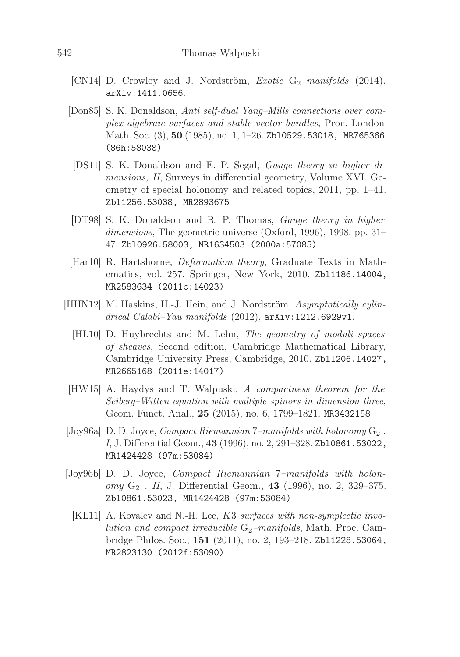- $\lfloor CN14 \rfloor$  D. Crowley and J. Nordström, *Exotic* G<sub>2</sub>-manifolds (2014), arXiv:1411.0656.
- [Don85] S. K. Donaldson, Anti self-dual Yang–Mills connections over complex algebraic surfaces and stable vector bundles, Proc. London Math. Soc. (3), 50 (1985), no. 1, 1-26. Zb10529.53018, MR765366 (86h:58038)
- [DS11] S. K. Donaldson and E. P. Segal, Gauge theory in higher dimensions, II, Surveys in differential geometry, Volume XVI. Geometry of special holonomy and related topics, 2011, pp. 1–41. Zbl1256.53038, MR2893675
- [DT98] S. K. Donaldson and R. P. Thomas, Gauge theory in higher dimensions, The geometric universe (Oxford, 1996), 1998, pp. 31– 47. Zbl0926.58003, MR1634503 (2000a:57085)
- [Har10] R. Hartshorne, Deformation theory, Graduate Texts in Mathematics, vol. 257, Springer, New York, 2010. Zbl1186.14004, MR2583634 (2011c:14023)
- [HHN12] M. Haskins, H.-J. Hein, and J. Nordström, Asymptotically cylindrical Calabi–Yau manifolds (2012), arXiv:1212.6929v1.
	- [HL10] D. Huybrechts and M. Lehn, The geometry of moduli spaces of sheaves, Second edition, Cambridge Mathematical Library, Cambridge University Press, Cambridge, 2010. Zbl1206.14027, MR2665168 (2011e:14017)
- [HW15] A. Haydys and T. Walpuski, A compactness theorem for the Seiberg–Witten equation with multiple spinors in dimension three, Geom. Funct. Anal., 25 (2015), no. 6, 1799–1821. MR3432158
- [Joy96a] D. D. Joyce, *Compact Riemannian*  $7$ –manifolds with holonomy  $G_2$ . I, J. Differential Geom., 43 (1996), no. 2, 291–328. Zbl0861.53022, MR1424428 (97m:53084)
- [Joy96b] D. D. Joyce, Compact Riemannian 7–manifolds with holon $omy G_2$  . II, J. Differential Geom., 43 (1996), no. 2, 329–375. Zbl0861.53023, MR1424428 (97m:53084)
	- [KL11] A. Kovalev and N.-H. Lee, K3 surfaces with non-symplectic involution and compact irreducible  $G_2$ -manifolds, Math. Proc. Cambridge Philos. Soc., 151 (2011), no. 2, 193–218. Zbl1228.53064, MR2823130 (2012f:53090)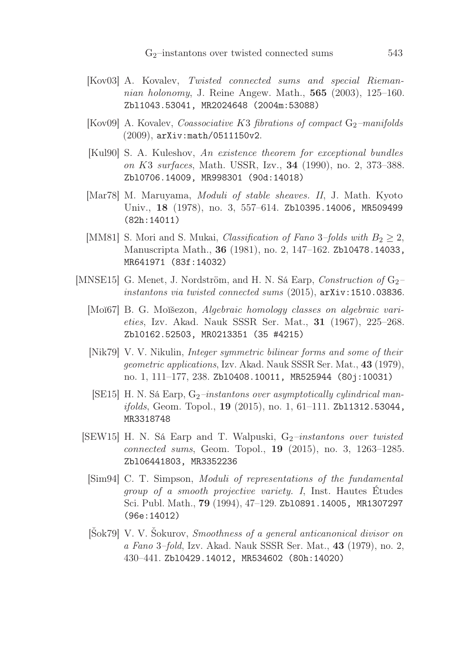- [Kov03] A. Kovalev, Twisted connected sums and special Riemannian holonomy, J. Reine Angew. Math., **565** (2003), 125–160. Zbl1043.53041, MR2024648 (2004m:53088)
- [Kov09] A. Kovalev, *Coassociative K3 fibrations of compact*  $G_2$ -manifolds (2009), arXiv:math/0511150v2.
- [Kul90] S. A. Kuleshov, An existence theorem for exceptional bundles on K3 surfaces, Math. USSR, Izv., 34 (1990), no. 2, 373–388. Zbl0706.14009, MR998301 (90d:14018)
- [Mar78] M. Maruyama, Moduli of stable sheaves. II, J. Math. Kyoto Univ., 18 (1978), no. 3, 557–614. Zbl0395.14006, MR509499 (82h:14011)
- [MM81] S. Mori and S. Mukai, *Classification of Fano* 3–folds with  $B_2 \geq 2$ , Manuscripta Math., 36 (1981), no. 2, 147–162. Zbl0478.14033, MR641971 (83f:14032)
- [MNSE15] G. Menet, J. Nordström, and H. N. Sá Earp, *Construction of*  $G_2$ instantons via twisted connected sums (2015), arXiv:1510.03836.
	- [Moĭ67] B. G. Moĭšezon, Algebraic homology classes on algebraic varieties, Izv. Akad. Nauk SSSR Ser. Mat., 31 (1967), 225–268. Zbl0162.52503, MR0213351 (35 #4215)
	- [Nik79] V. V. Nikulin, Integer symmetric bilinear forms and some of their geometric applications, Izv. Akad. Nauk SSSR Ser. Mat., 43 (1979), no. 1, 111–177, 238. Zbl0408.10011, MR525944 (80j:10031)
	- [SE15] H. N. Sá Earp,  $G_2$ -instantons over asymptotically cylindrical manifolds, Geom. Topol., 19 (2015), no. 1, 61-111. Zb11312.53044, MR3318748
	- [SEW15] H. N. Sá Earp and T. Walpuski,  $G_2$ -instantons over twisted connected sums, Geom. Topol., 19 (2015), no. 3, 1263–1285. Zbl06441803, MR3352236
		- [Sim94] C. T. Simpson, Moduli of representations of the fundamental group of a smooth projective variety. I, Inst. Hautes Études Sci. Publ. Math., 79 (1994), 47–129. Zbl0891.14005, MR1307297 (96e:14012)
		- [Šok79] V. V. Šokurov, Smoothness of a general anticanonical divisor on a Fano 3–fold, Izv. Akad. Nauk SSSR Ser. Mat., 43 (1979), no. 2, 430–441. Zbl0429.14012, MR534602 (80h:14020)